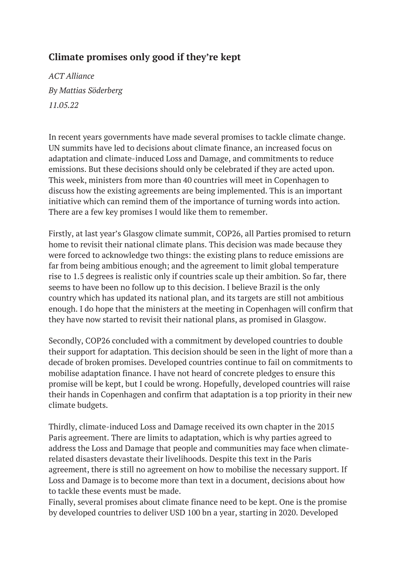## **Climate promises only good if they're kept**

*ACT Alliance By Mattias Söderberg 11.05.22*

In recent years governments have made several promises to tackle climate change. UN summits have led to decisions about climate finance, an increased focus on adaptation and climate-induced Loss and Damage, and commitments to reduce emissions. But these decisions should only be celebrated if they are acted upon. This week, ministers from more than 40 countries will meet in Copenhagen to discuss how the existing agreements are being implemented. This is an important initiative which can remind them of the importance of turning words into action. There are a few key promises I would like them to remember.

Firstly, at last year's Glasgow climate summit, COP26, all Parties promised to return home to revisit their national climate plans. This decision was made because they were forced to acknowledge two things: the existing plans to reduce emissions are far from being ambitious enough; and the agreement to limit global temperature rise to 1.5 degrees is realistic only if countries scale up their ambition. So far, there seems to have been no follow up to this decision. I believe Brazil is the only country which has updated its national plan, and its targets are still not ambitious enough. I do hope that the ministers at the meeting in Copenhagen will confirm that they have now started to revisit their national plans, as promised in Glasgow.

Secondly, COP26 concluded with a commitment by developed countries to double their support for adaptation. This decision should be seen in the light of more than a decade of broken promises. Developed countries continue to fail on commitments to mobilise adaptation finance. I have not heard of concrete pledges to ensure this promise will be kept, but I could be wrong. Hopefully, developed countries will raise their hands in Copenhagen and confirm that adaptation is a top priority in their new climate budgets.

Thirdly, climate-induced Loss and Damage received its own chapter in the 2015 Paris agreement. There are limits to adaptation, which is why parties agreed to address the Loss and Damage that people and communities may face when climaterelated disasters devastate their livelihoods. Despite this text in the Paris agreement, there is still no agreement on how to mobilise the necessary support. If Loss and Damage is to become more than text in a document, decisions about how to tackle these events must be made.

Finally, several promises about climate finance need to be kept. One is the promise by developed countries to deliver USD 100 bn a year, starting in 2020. Developed